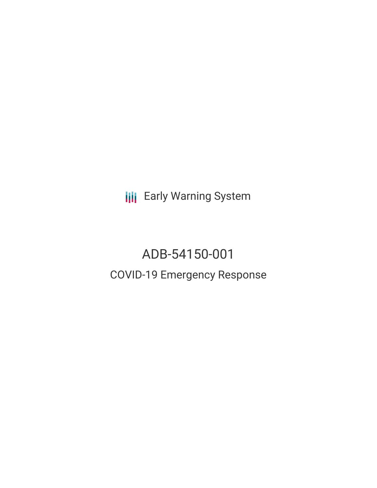**III** Early Warning System

# ADB-54150-001 COVID-19 Emergency Response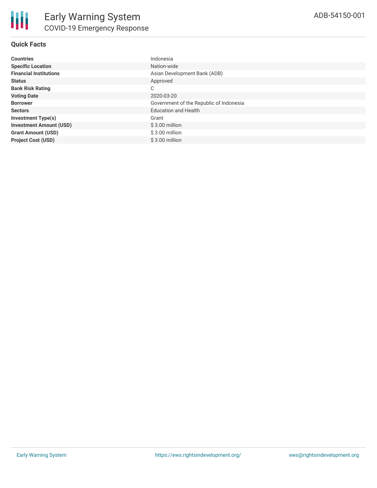# **Quick Facts**

| <b>Countries</b>               | Indonesia                               |
|--------------------------------|-----------------------------------------|
| <b>Specific Location</b>       | Nation-wide                             |
| <b>Financial Institutions</b>  | Asian Development Bank (ADB)            |
| <b>Status</b>                  | Approved                                |
| <b>Bank Risk Rating</b>        | С                                       |
| <b>Voting Date</b>             | 2020-03-20                              |
| <b>Borrower</b>                | Government of the Republic of Indonesia |
| <b>Sectors</b>                 | <b>Education and Health</b>             |
| <b>Investment Type(s)</b>      | Grant                                   |
| <b>Investment Amount (USD)</b> | $$3.00$ million                         |
| <b>Grant Amount (USD)</b>      | $$3.00$ million                         |
| <b>Project Cost (USD)</b>      | $$3.00$ million                         |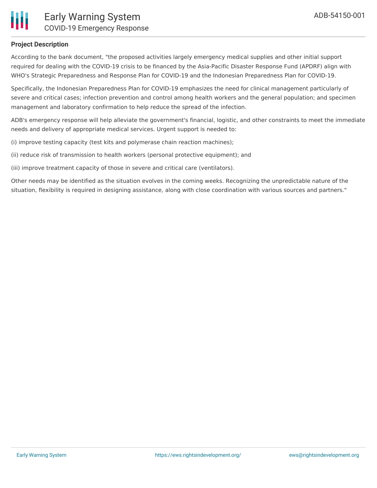

# **Project Description**

According to the bank document, "the proposed activities largely emergency medical supplies and other initial support required for dealing with the COVID-19 crisis to be financed by the Asia-Pacific Disaster Response Fund (APDRF) align with WHO's Strategic Preparedness and Response Plan for COVID-19 and the Indonesian Preparedness Plan for COVID-19.

Specifically, the Indonesian Preparedness Plan for COVID-19 emphasizes the need for clinical management particularly of severe and critical cases; infection prevention and control among health workers and the general population; and specimen management and laboratory confirmation to help reduce the spread of the infection.

ADB's emergency response will help alleviate the government's financial, logistic, and other constraints to meet the immediate needs and delivery of appropriate medical services. Urgent support is needed to:

(i) improve testing capacity (test kits and polymerase chain reaction machines);

(ii) reduce risk of transmission to health workers (personal protective equipment); and

(iii) improve treatment capacity of those in severe and critical care (ventilators).

Other needs may be identified as the situation evolves in the coming weeks. Recognizing the unpredictable nature of the situation, flexibility is required in designing assistance, along with close coordination with various sources and partners."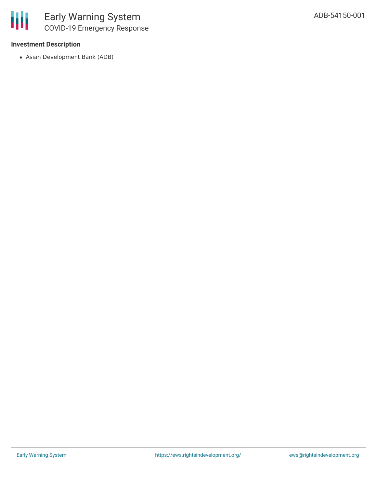# **Investment Description**

Asian Development Bank (ADB)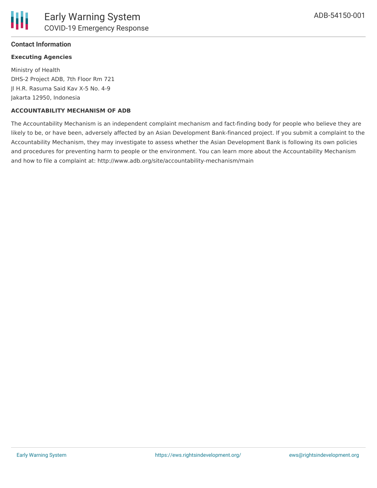# **Contact Information**

# **Executing Agencies**

Ministry of Health DHS-2 Project ADB, 7th Floor Rm 721 Jl H.R. Rasuma Said Kav X-5 No. 4-9 Jakarta 12950, Indonesia

#### **ACCOUNTABILITY MECHANISM OF ADB**

The Accountability Mechanism is an independent complaint mechanism and fact-finding body for people who believe they are likely to be, or have been, adversely affected by an Asian Development Bank-financed project. If you submit a complaint to the Accountability Mechanism, they may investigate to assess whether the Asian Development Bank is following its own policies and procedures for preventing harm to people or the environment. You can learn more about the Accountability Mechanism and how to file a complaint at: http://www.adb.org/site/accountability-mechanism/main